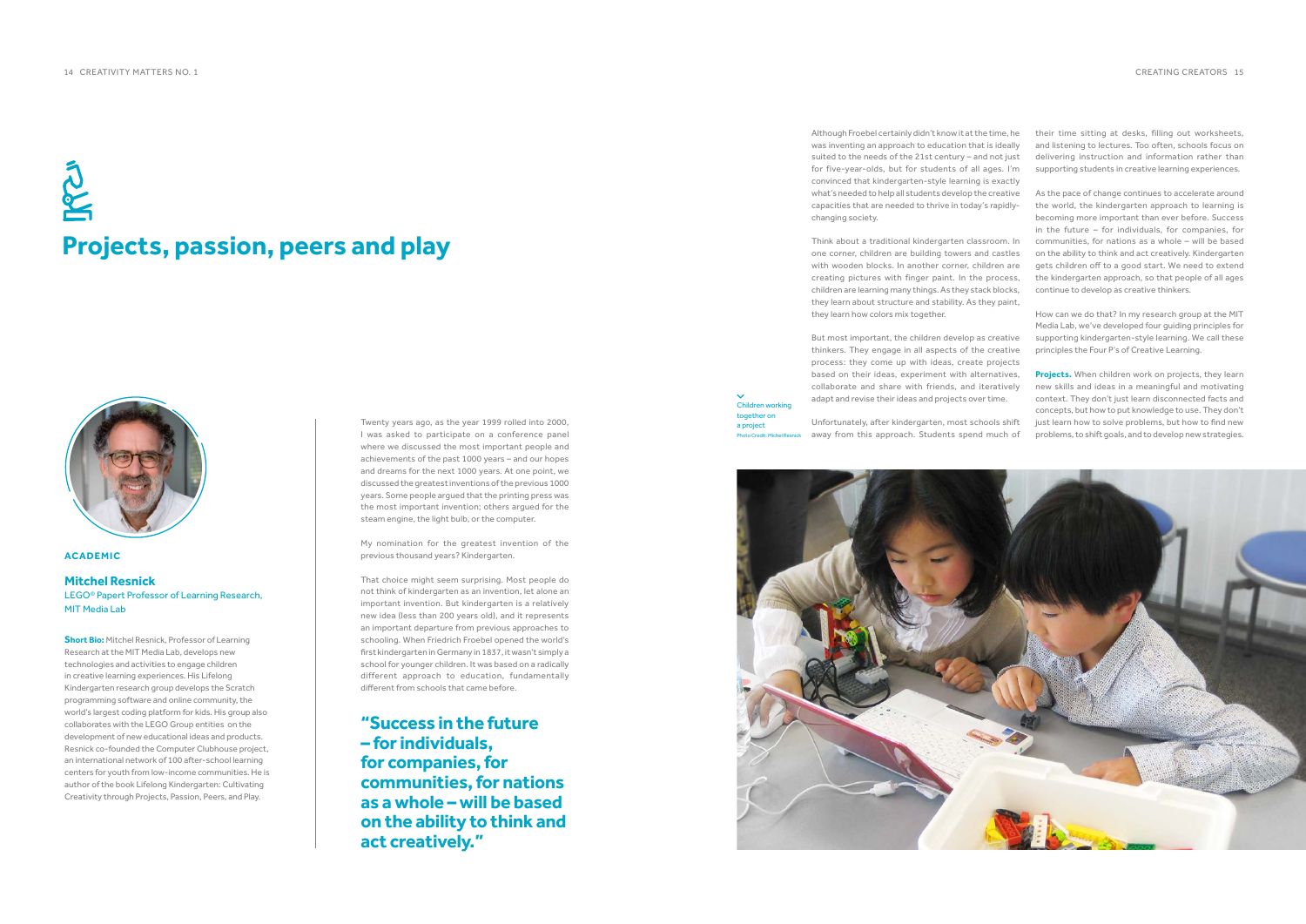## **ACADEMIC**

## **Mitchel Resnick**

LEGO® Papert Professor of Learning Research, MIT Media Lab

**Short Bio:** Mitchel Resnick, Professor of Learning Research at the MIT Media Lab, develops new technologies and activities to engage children in creative learning experiences. His Lifelong Kindergarten research group develops the Scratch programming software and online community, the world's largest coding platform for kids. His group also collaborates with the LEGO Group entities on the development of new educational ideas and products. Resnick co-founded the Computer Clubhouse project, an international network of 100 after-school learning centers for youth from low-income communities. He is author of the book Lifelong Kindergarten: Cultivating Creativity through Projects, Passion, Peers, and Play.

## **Projects, passion, peers and play**



Twenty years ago, as the year 1999 rolled into 2000, I was asked to participate on a conference panel where we discussed the most important people and achievements of the past 1000 years – and our hopes and dreams for the next 1000 years. At one point, we discussed the greatest inventions of the previous 1000 years. Some people argued that the printing press was the most important invention; others argued for the steam engine, the light bulb, or the computer.

My nomination for the greatest invention of the previous thousand years? Kindergarten.

That choice might seem surprising. Most people do not think of kindergarten as an invention, let alone an important invention. But kindergarten is a relatively new idea (less than 200 years old), and it represents an important departure from previous approaches to schooling. When Friedrich Froebel opened the world's first kindergarten in Germany in 1837, it wasn't simply a school for younger children. It was based on a radically different approach to education, fundamentally different from schools that came before.

Although Froebel certainly didn't know it at the time, he was inventing an approach to education that is ideally suited to the needs of the 21st century – and not just for five-year-olds, but for students of all ages. I'm convinced that kindergarten-style learning is exactly what's needed to help all students develop the creative capacities that are needed to thrive in today's rapidlychanging society.

Think about a traditional kindergarten classroom. In one corner, children are building towers and castles with wooden blocks. In another corner, children are creating pictures with finger paint. In the process, children are learning many things. As they stack blocks, they learn about structure and stability. As they paint, they learn how colors mix together.

But most important, the children develop as creative thinkers. They engage in all aspects of the creative process: they come up with ideas, create projects based on their ideas, experiment with alternatives, collaborate and share with friends, and iteratively adapt and revise their ideas and projects over time.

their time sitting at desks, filling out worksheets, and listening to lectures. Too often, schools focus on delivering instruction and information rather than supporting students in creative learning experiences.

As the pace of change continues to accelerate around the world, the kindergarten approach to learning is becoming more important than ever before. Success in the future – for individuals, for companies, for communities, for nations as a whole – will be based on the ability to think and act creatively. Kindergarten gets children off to a good start. We need to extend the kindergarten approach, so that people of all ages continue to develop as creative thinkers.

Unfortunately, after kindergarten, most schools shift away from this approach. Students spend much of Photo Credit: Michel Resnick

How can we do that? In my research group at the MIT Media Lab, we've developed four guiding principles for supporting kindergarten-style learning. We call these principles the Four P's of Creative Learning.

**Projects.** When children work on projects, they learn new skills and ideas in a meaningful and motivating context. They don't just learn disconnected facts and concepts, but how to put knowledge to use. They don't just learn how to solve problems, but how to find new problems, to shift goals, and to develop new strategies.

**"Success in the future – for individuals, for companies, for communities, for nations as a whole – will be based on the ability to think and act creatively."**

Children working together on a project